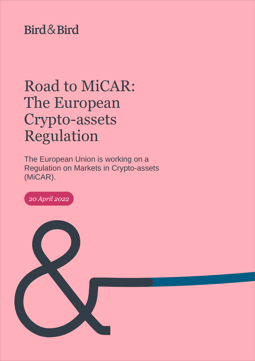# Bird & Bird

# Road to MiCAR: The European Crypto-assets Regulation

The European Union is working on a Regulation on Markets in Crypto-assets (MiCAR).

*20 April 2022*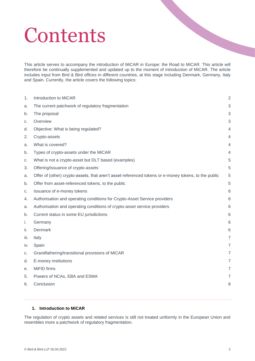# **Contents**

This article serves to accompany the introduction of MiCAR in Europe: the Road to MiCAR. This article will therefore be continually supplemented and updated up to the moment of introduction of MiCAR. The article includes input from Bird & Bird offices in different countries, at this stage including Denmark, Germany, Italy and Spain. Currently, the article covers the following topics:

| 1.   | Introduction to MiCAR                                                                                | $\overline{2}$ |
|------|------------------------------------------------------------------------------------------------------|----------------|
| a.   | The current patchwork of regulatory fragmentation                                                    | 3              |
| b.   | The proposal                                                                                         | 3              |
| C.   | Overview                                                                                             | 3              |
| d.   | Objective: What is being regulated?                                                                  | 4              |
| 2.   | Crypto-assets                                                                                        | $\overline{4}$ |
| a.   | What is covered?                                                                                     | 4              |
| b.   | Types of crypto-assets under the MiCAR                                                               | $\overline{4}$ |
| C.   | What is not a crypto-asset but DLT based (examples)                                                  | 5              |
| 3.   | Offering/issuance of crypto-assets                                                                   | 5              |
| a.   | Offer of (other) crypto-assets, that aren't asset-referenced tokens or e-money tokens, to the public | 5              |
| b.   | Offer from asset-referenced tokens, to the public                                                    | 5              |
| C.   | Issuance of e-money tokens                                                                           | 6              |
| 4.   | Authorisation and operating conditions for Crypto-Asset Service providers                            | 6              |
| a.   | Authorisation and operating conditions of crypto-asset service providers                             | 6              |
| b.   | Current status in some EU jurisdictions                                                              | 6              |
| i.   | Germany                                                                                              | 6              |
| ii.  | Denmark                                                                                              | 6              |
| iii. | Italy                                                                                                | $\overline{7}$ |
| iv.  | Spain                                                                                                | $\overline{7}$ |
| C.   | Grandfathering/transitional provisions of MiCAR                                                      | $\overline{7}$ |
| d.   | E-money institutions                                                                                 | $\overline{7}$ |
| е.   | MiFID firms                                                                                          | $\overline{7}$ |
| 5.   | Powers of NCAs, EBA and ESMA                                                                         | $\overline{7}$ |
| 6.   | Conclusion                                                                                           | 8              |
|      |                                                                                                      |                |

#### <span id="page-1-0"></span>**1. Introduction to MiCAR**

The regulation of crypto assets and related services is still not treated uniformly in the European Union and resembles more a patchwork of regulatory fragmentation.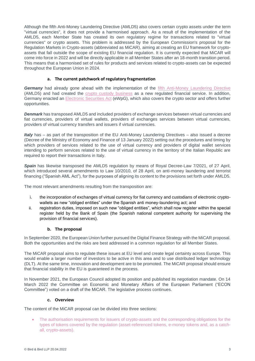Although the fifth Anti-Money Laundering Directive (AMLD5) also covers certain crypto assets under the term "virtual currencies", it does not provide a harmonised approach. As a result of the implementation of the AMLD5, each Member State has created its own regulatory regime for transactions related to "virtual currencies" or crypto assets. This problem is addressed by the European Commission's proposal for the Regulation Markets in Crypto-assets (abbreviated as MiCAR), aiming at creating an EU framework for cryptoassets that fall outside the scope of existing EU financial regulation. It is currently expected that MiCAR will come into force in 2022 and will be directly applicable in all Member States after an 18-month transition period. This means that a harmonised set of rules for products and services related to crypto-assets can be expected throughout the European Union in 2024.

#### **a. The current patchwork of regulatory fragmentation**

<span id="page-2-0"></span>**Germany** had already gone ahead with the implementation of the [fifth Anti-Money Laundering Directive](https://www.twobirds.com/en/news/articles/2019/germany/gesetz-zur-umsetzung-der-fuenften-eu-geldwaescherichtlinie) (AMLD5) and had created the [crypto custody business](https://www.twobirds.com/en/news/articles/2020/germany/german-crypto-market-what-you-need-to-know-about-the-crypto-depository-service) as a new regulated financial service. In addition, Germany enacted an [Electronic Securities Act](https://www.twobirds.com/en/news/articles/2020/germany/german-ministries-publish-draft-for-a-new-electronic-securities-act) (eWpG), which also covers the crypto sector and offers further opportunities.

*Denmark* has transposed AMLD5 and included providers of exchange services between virtual currencies and fiat currencies, providers of virtual wallets, providers of exchanges services between virtual currencies, providers of virtual currency transfers and issuers if virtual currencies.

*Italy* has – as part of the transposition of the EU Anti-Money Laundering Directives – also issued a decree (Decree of the Ministry of Economy and Finance of 13 January 2022) setting out the procedures and timing by which providers of services related to the use of virtual currency and providers of digital wallet services intending to perform services related to the use of virtual currency in the territory of the Italian Republic are required to report their transactions in Italy.

*Spain* has likewise transposed the AMLD5 regulation by means of Royal Decree-Law 7/2021, of 27 April, which introduced several amendments to Law 10/2010, of 28 April, on anti-money laundering and terrorist financing ("Spanish AML Act"), for the purposes of aligning its content to the provisions set forth under AMLD5.

The most relevant amendments resulting from the transposition are:

- i. the incorporation of exchanges of virtual currency for fiat currency and custodians of electronic cryptowallets as new "obliged entities" under the Spanish anti money-laundering act; and
- ii. registration duties, imposed on such new "obliged entities", which shall now register within the special register held by the Bank of Spain (the Spanish national competent authority for supervising the provision of financial services).

#### **b. The proposal**

<span id="page-2-1"></span>In September 2020, the European Union further pursued the Digital Finance Strategy with the MiCAR proposal. Both the opportunities and the risks are best addressed in a common regulation for all Member States.

The MiCAR proposal aims to regulate these issues at EU level and create legal certainty across Europe. This would enable a larger number of investors to be active in this area and to use distributed ledger technology (DLT). At the same time, innovation and development are to be promoted. The MiCAR proposal should ensure that financial stability in the EU is guaranteed in the process.

In November 2021, the European Council adopted its position and published its negotiation mandate. On 14 March 2022 the Committee on Economic and Monetary Affairs of the European Parliament ("ECON Committee") voted on a draft of the MiCAR. The legislative process continues.

#### **c. Overview**

<span id="page-2-2"></span>The content of the MiCAR proposal can be divided into three sections:

• The authorisation requirements for issuers of crypto-assets and the corresponding obligations for the types of tokens covered by the regulation (asset-referenced tokens, e-money tokens and, as a catchall, crypto-assets).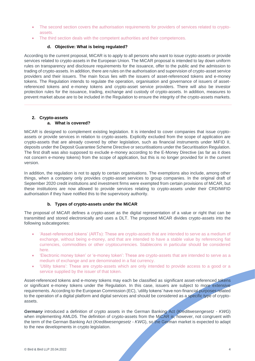- The second section covers the authorisation requirements for providers of services related to cryptoassets.
- The third section deals with the competent authorities and their competences.

#### **d. Objective: What is being regulated?**

<span id="page-3-0"></span>According to the current proposal, MiCAR is to apply to all persons who want to issue crypto-assets or provide services related to crypto-assets in the European Union. The MiCAR proposal is intended to lay down uniform rules on transparency and disclosure requirements for the issuance, offer to the public and the admission to trading of crypto-assets. In addition, there are rules on the authorisation and supervision of crypto-asset service providers and their issuers. The main focus lies with the issuers of asset-referenced tokens and e-money tokens. The Regulation intends to regulate the operation, organisation and governance of issuers of assetreferenced tokens and e-money tokens and crypto-asset service providers. There will also be investor protection rules for the issuance, trading, exchange and custody of crypto-assets. In addition, measures to prevent market abuse are to be included in the Regulation to ensure the integrity of the crypto-assets markets.

## <span id="page-3-1"></span>**2. Crypto-assets**

#### **a. What is covered?**

<span id="page-3-2"></span>MiCAR is designed to complement existing legislation. It is intended to cover companies that issue cryptoassets or provide services in relation to crypto-assets. Explicitly excluded from the scope of application are crypto-assets that are already covered by other legislation, such as financial instruments under MiFID II, deposits under the Deposit Guarantee Scheme Directive or securitisations under the Securitisation Regulation. The first draft was also supposed to exclude e-money according to the E-Money Directive (as far as it does not concern e-money tokens) from the scope of application, but this is no longer provided for in the current version.

In addition, the regulation is not to apply to certain organisations. The exemptions also include, among other things, when a company only provides crypto-asset services to group companies. In the original draft of September 2020 credit institutions and investment firms were exempted from certain provisions of MiCAR, but these institutions are now allowed to provide services relating to crypto-assets under their CRD/MiFID authorisation if they have notified this to the supervisory authority.

#### **b. Types of crypto-assets under the MiCAR**

<span id="page-3-3"></span>The proposal of MiCAR defines a crypto-asset as the digital representation of a value or right that can be transmitted and stored electronically and uses a DLT. The proposed MiCAR divides crypto-assets into the following subcategories:

- 'Asset-referenced tokens' (ARTs): These are crypto-assets that are intended to serve as a medium of exchange, without being e-money, and that are intended to have a stable value by referencing fiat currencies, commodities or other cryptocurrencies. Stablecoins in particular should be considered here.
- 'Electronic money token' or 'e-money token': These are crypto-assets that are intended to serve as a medium of exchange and are denominated in a fiat currency.
- 'Utility tokens': These are crypto-assets which are only intended to provide access to a good or a service supplied by the issuer of that token.

Asset-referenced tokens and e-money tokens may each be classified as significant asset-referenced tokens or significant e-money tokens under the Regulation. In this case, issuers are subject to more extensive requirements. According to the European Commission (EC), 'utility tokens' have non-financial purposes related to the operation of a digital platform and digital services and should be considered as a specific type of cryptoassets.

*Germany* introduced a definition of crypto assets in the German Banking Act (*Kreditwesengesetz - KWG*) when implementing AMLD5. The definition of crypto-assets from the MiCAR is, however, not congruent with the term of the German Banking Act (*Kreditwesengesetz - KWG*), so the German market is expected to adapt to the new developments in crypto legislation.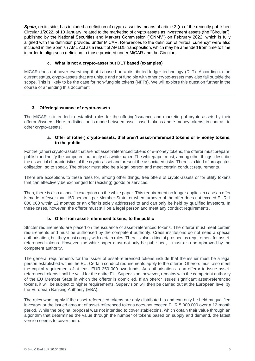*Spain*, on its side, has included a definition of crypto-asset by means of article 3 (e) of the recently published Circular 1/2022, of 10 January, related to the marketing of crypto assets as investment assets (the "Circular"), published by the National Securities and Markets Commission ("CNMV") on February 2022, which is fully aligned with the definition provided under MiCAR. References to the definition of "virtual currency" were also included in the Spanish AML Act as a result of AMLD5 transposition, which may be amended from time to time in order to align such definition to those provided under MiCAR and the Circular.

#### **c. What is not a crypto-asset but DLT based (examples)**

<span id="page-4-0"></span>MiCAR does not cover everything that is based on a distributed ledger technology (DLT). According to the current status, crypto-assets that are unique and not fungible with other crypto-assets may also fall outside the scope. This is likely to be the case for non-fungible tokens (NFTs). We will explore this question further in the course of amending this document.

#### <span id="page-4-1"></span>**3. Offering/issuance of crypto-assets**

The MiCAR is intended to establish rules for the offering/issuance and marketing of crypto-assets by their offerors/issuers. Here, a distinction is made between asset-based tokens and e-money tokens, in contrast to other crypto-assets.

#### **a. Offer of (other) crypto-assets, that aren't asset-referenced tokens or e-money tokens, to the public**

<span id="page-4-2"></span>For the (other) crypto-assets that are not asset-referenced tokens or e-money tokens, the offeror must prepare, publish and notify the competent authority of a white paper. The whitepaper must, among other things, describe the essential characteristics of the crypto-asset and present the associated risks. There is a kind of prospectus obligation, so to speak. The offeror must also be a legal person and meet certain conduct requirements.

There are exceptions to these rules for, among other things, free offers of crypto-assets or for utility tokens that can effectively be exchanged for (existing) goods or services.

Then, there is also a specific exception on the white paper. This requirement no longer applies in case an offer is made to fewer than 150 persons per Member State; or when turnover of the offer does not exceed EUR 1 000 000 within 12 months; or an offer is solely addressed to and can only be held by qualified investors. In these cases, however, the offeror must still be a legal person and meet any conduct requirements.

#### **b. Offer from asset-referenced tokens, to the public**

<span id="page-4-3"></span>Stricter requirements are placed on the issuance of asset-referenced tokens. The offeror must meet certain requirements and must be authorised by the competent authority. Credit institutions do not need a special authorisation, but they must comply with certain rules. There is also a kind of prospectus requirement for assetreferenced tokens. However, the white paper must not only be published, it must also be approved by the competent authority.

The general requirements for the issuer of asset-referenced tokens include that the issuer must be a legal person established within the EU. Certain conduct requirements apply to the offeror. Offerors must also meet the capital requirement of at least EUR 350 000 own funds. An authorisation as an offeror to issue assetreferenced tokens shall be valid for the entire EU. Supervision, however, remains with the competent authority of the EU Member State in which the offeror is domiciled. If an offeror issues significant asset-referenced tokens, it will be subject to higher requirements. Supervision will then be carried out at the European level by the European Banking Authority (EBA).

The rules won't apply if the asset-referenced tokens are only distributed to and can only be held by qualified investors or the issued amount of asset-referenced tokens does not exceed EUR 5 000 000 over a 12-month period. While the original proposal was not intended to cover stablecoins, which obtain their value through an algorithm that determines the value through the number of tokens based on supply and demand, the latest version seems to cover them.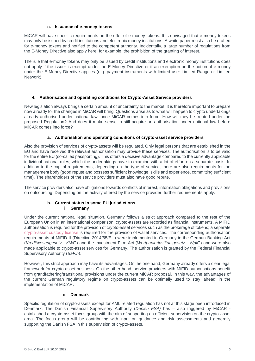#### **c. Issuance of e-money tokens**

<span id="page-5-0"></span>MiCAR will have specific requirements on the offer of e-money tokens. It is envisaged that e-money tokens may only be issued by credit institutions and electronic money institutions. A white paper must also be drafted for e-money tokens and notified to the competent authority. Incidentally, a large number of regulations from the E-Money Directive also apply here, for example, the prohibition of the granting of interest.

The rule that e-money tokens may only be issued by credit institutions and electronic money institutions does not apply if the issuer is exempt under the E-Money Directive or if an exemption on the notion of e-money under the E-Money Directive applies (e.g. payment instruments with limited use: Limited Range or Limited Network).

#### <span id="page-5-1"></span>**4. Authorisation and operating conditions for Crypto-Asset Service providers**

New legislation always brings a certain amount of uncertainty to the market. It is therefore important to prepare now already for the changes in MiCAR will bring. Questions arise as to what will happen to crypto undertakings already authorised under national law, once MiCAR comes into force. How will they be treated under the proposed Regulation? And does it make sense to still acquire an authorisation under national law before MiCAR comes into force?

#### **a. Authorisation and operating conditions of crypto-asset service providers**

<span id="page-5-2"></span>Also the provision of services of crypto-assets will be regulated. Only legal persons that are established in the EU and have received the relevant authorisation may provide these services. The authorisation is to be valid for the entire EU (so-called passporting). This offers a decisive advantage compared to the currently applicable individual national rules, which the undertakings have to examine with a lot of effort on a separate basis. In addition to the capital requirements, depending on the type of service, there are also requirements for the management body (good repute and possess sufficient knowledge, skills and experience, committing sufficient time). The shareholders of the service providers must also have good repute.

The service providers also have obligations towards conflicts of interest, information obligations and provisions on outsourcing. Depending on the activity offered by the service provider, further requirements apply.

#### **b. Current status in some EU jurisdictions i. Germany**

<span id="page-5-4"></span><span id="page-5-3"></span>Under the current national legal situation, Germany follows a strict approach compared to the rest of the European Union in an international comparison: crypto-assets are recorded as financial instruments. A MiFID authorisation is required for the provision of crypto-asset services such as the brokerage of tokens; a separate [crypto-asset custody license](https://www.twobirds.com/en/news/articles/2020/germany/german-crypto-market-what-you-need-to-know-about-the-crypto-depository-service) is required for the provision of wallet services. The corresponding authorisation requirements of MiFID II (Directive 2014/65/EU) were implemented in Germany in the German Banking Act (*Kreditwesengesetz - KWG*) and the Investment Firm Act (*Wertpapierinstitutsgesetz - WpIG*) and were also made applicable to crypto-asset services for Germany. The authorisation is granted by the Federal Financial Supervisory Authority (*BaFin*).

However, this strict approach may have its advantages. On the one hand, Germany already offers a clear legal framework for crypto-asset business. On the other hand, service providers with MiFID authorisations benefit from grandfathering/transitional provisions under the current MiCAR proposal. In this way, the advantages of the current German regulatory regime on crypto-assets can be optimally used to stay 'ahead' in the implementation of MiCAR.

#### **ii. Denmark**

<span id="page-5-5"></span>Specific regulation of crypto-assets except for AML related regulation has not at this stage been introduced in Denmark. The Danish Financial Supervisory Authority (*Danish FSA)* has – also triggered by MiCAR established a crypto-asset focus group with the aim of supporting an efficient supervision on the crypto-asset area. The focus group will be contributing with input on guidance and risk assessments and generally supporting the Danish FSA in this supervision of crypto-assets.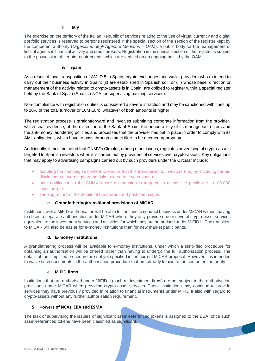#### iii. **Italy**

<span id="page-6-0"></span>The exercise on the territory of the Italian Republic of services relating to the use of virtual currency and digital portfolio services is reserved to persons registered in the special section of the section of the register kept by the competent authority (*Organismo degli Agenti e Mediatori – OAM*), a public body for the management of lists of agents in financial activity and credit brokers. Registration in the special section of the register is subject to the possession of certain requirements, which are verified on an ongoing basis by the OAM.

#### **iv. Spain**

<span id="page-6-1"></span>As a result of local transposition of AMLD 5 in Spain, crypto exchanges and wallet providers who (i) intend to carry out their business activity in Spain; (ii) are established in Spanish soil; or (iii) whose base, direction or management of the activity related to crypto-assets is in Spain, are obliged to register within a special register held by the Bank of Spain (Spanish NCA for supervising banking services).

Non-compliance with registration duties is considered a severe infraction and may be sanctioned with fines up to 10% of the total turnover or 10M Euro, whatever of both amounts is higher.

The registration process is straightforward and involves submitting corporate information from the provider, which shall evidence, at the discretion of the Bank of Spain, the honourability of its managers/directors and the anti-money laundering policies and processes that the provider has put in place in order to comply with its AML obligations, which have to pass through a strict filter to be deemed appropriate.

Additionally, it must be noted that CNMV's Circular, among other issues, regulates advertising of crypto-assets targeted to Spanish investors when it is carried out by providers of services over crypto-assets. Key obligations that may apply to advertising campaigns carried out by such providers under the Circular include:

- adapting the campaign's content to ensure that it is transparent to investors (i.e., by including certain disclaimers or warnings on the risks related to cryptoassets);
- prior notification to the CNMV where a campaign is targeted to a massive public (i.e., +100,000 investors); or
- keeping record of the details of the current and past campaigns.

#### **c. Grandfathering/transitional provisions of MiCAR**

<span id="page-6-2"></span>Institutions with a MiFID authorisation will be able to continue to conduct business under MiCAR without having to obtain a separate authorisation under MiCAR where they only provide one or several crypto-asset services equivalent to the investment services and activities for which they are authorised under MiFID II. The transition to MiCAR will also be easier for e-money institutions than for new market participants.

#### **d. E-money institutions**

<span id="page-6-3"></span>A grandfathering process will be available to e-money institutions, under which a simplified procedure for obtaining an authorisation will be offered rather than having to undergo the full authorisation process. The details of the simplified procedure are not yet specified in the current MiCAR proposal. However, it is intended to waive such documents in the authorisation procedure that are already known to the competent authority.

#### **e. MiFID firms**

<span id="page-6-4"></span>Institutions that are authorised under MiFID II (such as investment firms) are not subject to the authorisation provisions under MiCAR when providing crypto-asset services. These institutions may continue to provide services they have previously provided in relation to financial instruments under MiFID II also with regard to crypto-assets without any further authorisation requirement.

#### <span id="page-6-5"></span>**5. Powers of NCAs, EBA and ESMA**

The task of supervising the issuers of significant asset-referenced tokens is assigned to the EBA, once such asset-referenced tokens have been classified as significant.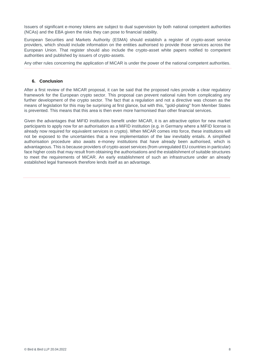Issuers of significant e-money tokens are subject to dual supervision by both national competent authorities (NCAs) and the EBA given the risks they can pose to financial stability.

European Securities and Markets Authority (ESMA) should establish a register of crypto-asset service providers, which should include information on the entities authorised to provide those services across the European Union. That register should also include the crypto-asset white papers notified to competent authorities and published by issuers of crypto-assets.

Any other rules concerning the application of MiCAR is under the power of the national competent authorities.

#### <span id="page-7-0"></span>**6. Conclusion**

After a first review of the MiCAR proposal, it can be said that the proposed rules provide a clear regulatory framework for the European crypto sector. This proposal can prevent national rules from complicating any further development of the crypto sector. The fact that a regulation and not a directive was chosen as the means of legislation for this may be surprising at first glance, but with this, "gold-plating" from Member States is prevented. This means that this area is then even more harmonised than other financial services.

Given the advantages that MiFID institutions benefit under MiCAR, it is an attractive option for new market participants to apply now for an authorisation as a MiFID institution (e.g. in Germany where a MiFID license is already now required for equivalent services in crypto). When MiCAR comes into force, these institutions will not be exposed to the uncertainties that a new implementation of the law inevitably entails. A simplified authorisation procedure also awaits e-money institutions that have already been authorised, which is advantageous. This is because providers of crypto-asset services (from unregulated EU countries in particular) face higher costs that may result from obtaining the authorisations and the establishment of suitable structures to meet the requirements of MiCAR. An early establishment of such an infrastructure under an already established legal framework therefore lends itself as an advantage.